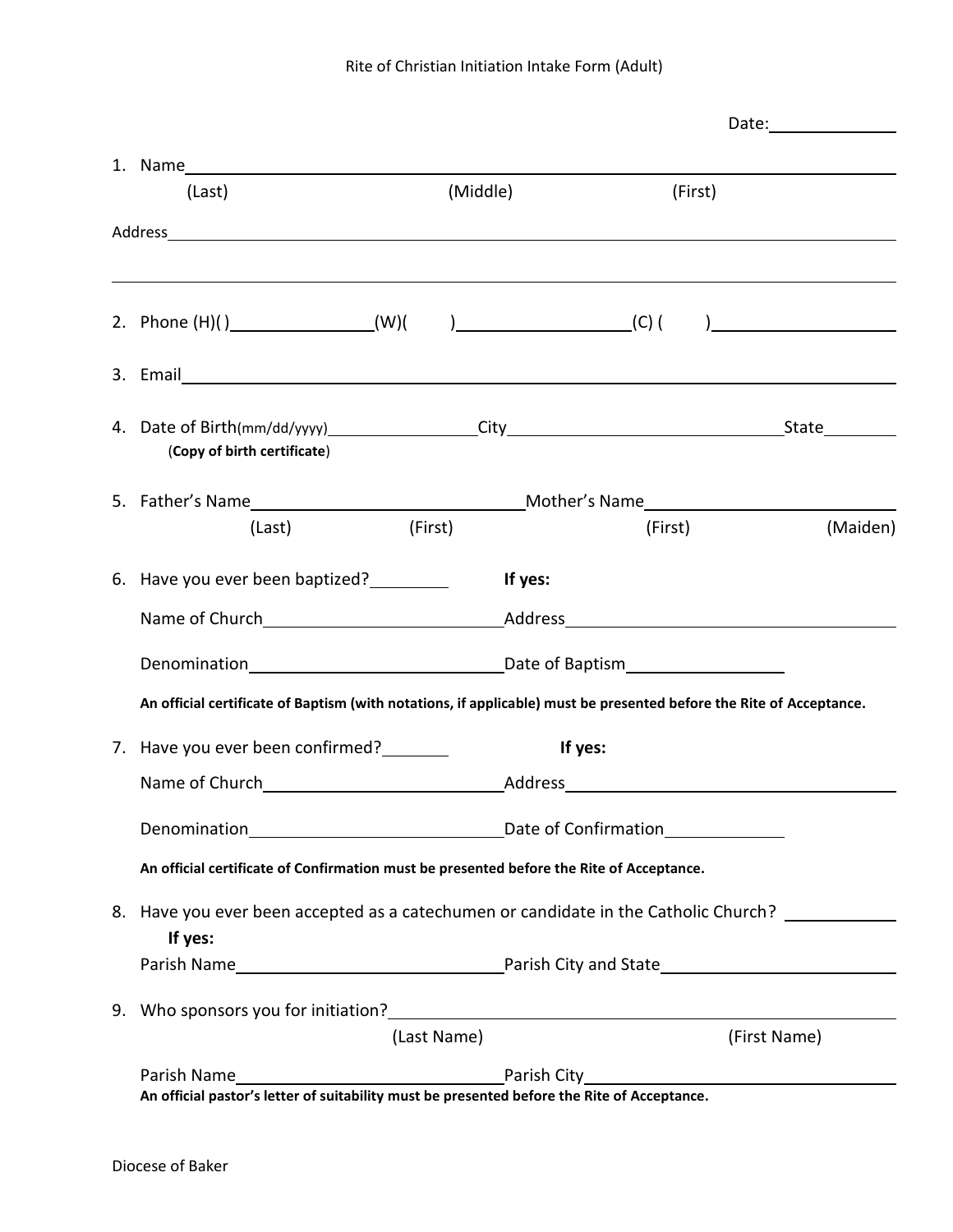|  | 1. Name                                                                                                                                                                                                                              |             |          |              |                                       |  |
|--|--------------------------------------------------------------------------------------------------------------------------------------------------------------------------------------------------------------------------------------|-------------|----------|--------------|---------------------------------------|--|
|  | (Last)                                                                                                                                                                                                                               |             | (Middle) | (First)      |                                       |  |
|  |                                                                                                                                                                                                                                      |             |          |              |                                       |  |
|  |                                                                                                                                                                                                                                      |             |          |              |                                       |  |
|  |                                                                                                                                                                                                                                      |             |          |              | $\begin{array}{c} \hline \end{array}$ |  |
|  | 3. Email <b>Executive Contract Contract Contract Contract Contract Contract Contract Contract Contract Contract Contract Contract Contract Contract Contract Contract Contract Contract Contract Contract Contract Contract Cont</b> |             |          |              |                                       |  |
|  | (Copy of birth certificate)                                                                                                                                                                                                          |             |          |              |                                       |  |
|  |                                                                                                                                                                                                                                      |             |          |              |                                       |  |
|  | (Last)                                                                                                                                                                                                                               | (First)     |          | (First)      | (Maiden)                              |  |
|  | 6. Have you ever been baptized?                                                                                                                                                                                                      |             | If yes:  |              |                                       |  |
|  |                                                                                                                                                                                                                                      |             |          |              |                                       |  |
|  |                                                                                                                                                                                                                                      |             |          |              |                                       |  |
|  | An official certificate of Baptism (with notations, if applicable) must be presented before the Rite of Acceptance.                                                                                                                  |             |          |              |                                       |  |
|  | 7. Have you ever been confirmed?                                                                                                                                                                                                     |             |          | If yes:      |                                       |  |
|  |                                                                                                                                                                                                                                      |             |          |              |                                       |  |
|  |                                                                                                                                                                                                                                      |             |          |              |                                       |  |
|  | An official certificate of Confirmation must be presented before the Rite of Acceptance.                                                                                                                                             |             |          |              |                                       |  |
|  | 8. Have you ever been accepted as a catechumen or candidate in the Catholic Church? ______________<br>If yes:                                                                                                                        |             |          |              |                                       |  |
|  |                                                                                                                                                                                                                                      |             |          |              |                                       |  |
|  | 9. Who sponsors you for initiation?<br><u> and the contract of the contract of the set of the set of the set of the set of the set of the set of the set o</u>                                                                       |             |          |              |                                       |  |
|  |                                                                                                                                                                                                                                      | (Last Name) |          | (First Name) |                                       |  |
|  | Parish Name<br>An official pastor's letter of suitability must be presented before the Rite of Acceptance.                                                                                                                           |             |          |              |                                       |  |
|  |                                                                                                                                                                                                                                      |             |          |              |                                       |  |